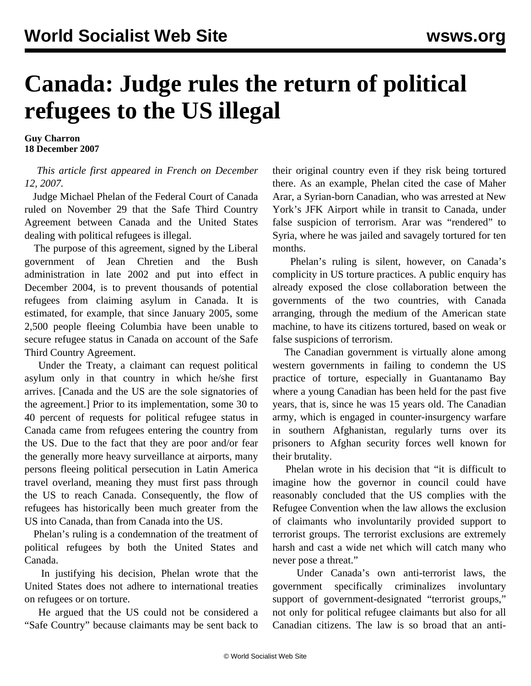## **Canada: Judge rules the return of political refugees to the US illegal**

**Guy Charron 18 December 2007**

## *This article first appeared in French on December 12, 2007.*

 Judge Michael Phelan of the Federal Court of Canada ruled on November 29 that the Safe Third Country Agreement between Canada and the United States dealing with political refugees is illegal.

 The purpose of this agreement, signed by the Liberal government of Jean Chretien and the Bush administration in late 2002 and put into effect in December 2004, is to prevent thousands of potential refugees from claiming asylum in Canada. It is estimated, for example, that since January 2005, some 2,500 people fleeing Columbia have been unable to secure refugee status in Canada on account of the Safe Third Country Agreement.

 Under the Treaty, a claimant can request political asylum only in that country in which he/she first arrives. [Canada and the US are the sole signatories of the agreement.] Prior to its implementation, some 30 to 40 percent of requests for political refugee status in Canada came from refugees entering the country from the US. Due to the fact that they are poor and/or fear the generally more heavy surveillance at airports, many persons fleeing political persecution in Latin America travel overland, meaning they must first pass through the US to reach Canada. Consequently, the flow of refugees has historically been much greater from the US into Canada, than from Canada into the US.

 Phelan's ruling is a condemnation of the treatment of political refugees by both the United States and Canada.

 In justifying his decision, Phelan wrote that the United States does not adhere to international treaties on refugees or on torture.

 He argued that the US could not be considered a "Safe Country" because claimants may be sent back to their original country even if they risk being tortured there. As an example, Phelan cited the case of Maher Arar, a Syrian-born Canadian, who was arrested at New York's JFK Airport while in transit to Canada, under false suspicion of terrorism. Arar was "rendered" to Syria, where he was jailed and savagely tortured for ten months.

 Phelan's ruling is silent, however, on Canada's complicity in US torture practices. A public enquiry has already exposed the close collaboration between the governments of the two countries, with Canada arranging, through the medium of the American state machine, to have its citizens tortured, based on weak or false suspicions of terrorism.

 The Canadian government is virtually alone among western governments in failing to condemn the US practice of torture, especially in Guantanamo Bay where a young Canadian has been held for the past five years, that is, since he was 15 years old. The Canadian army, which is engaged in counter-insurgency warfare in southern Afghanistan, regularly turns over its prisoners to Afghan security forces well known for their brutality.

 Phelan wrote in his decision that "it is difficult to imagine how the governor in council could have reasonably concluded that the US complies with the Refugee Convention when the law allows the exclusion of claimants who involuntarily provided support to terrorist groups. The terrorist exclusions are extremely harsh and cast a wide net which will catch many who never pose a threat."

 Under Canada's own anti-terrorist laws, the government specifically criminalizes involuntary support of government-designated "terrorist groups," not only for political refugee claimants but also for all Canadian citizens. The law is so broad that an anti-